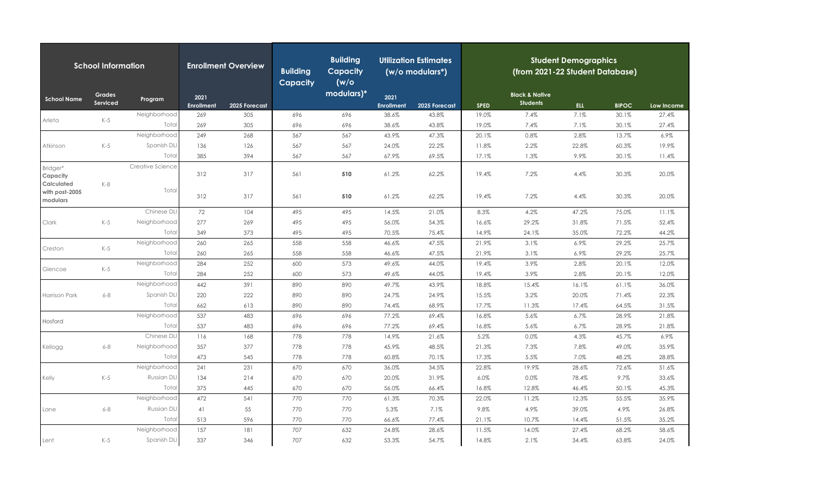| <b>School Information</b>                |                           |                  | <b>Enrollment Overview</b> |               | <b>Building</b><br><b>Capacity</b> | <b>Building</b><br><b>Capacity</b><br>(w/o | <b>Utilization Estimates</b><br>(w/o modulars*) |               | <b>Student Demographics</b><br>(from 2021-22 Student Database) |                                              |            |              |            |  |
|------------------------------------------|---------------------------|------------------|----------------------------|---------------|------------------------------------|--------------------------------------------|-------------------------------------------------|---------------|----------------------------------------------------------------|----------------------------------------------|------------|--------------|------------|--|
| <b>School Name</b>                       | <b>Grades</b><br>Serviced | Program          | 2021<br><b>Enrollment</b>  | 2025 Forecast |                                    | modulars)*                                 | 2021<br><b>Enrollment</b>                       | 2025 Forecast | <b>SPED</b>                                                    | <b>Black &amp; Native</b><br><b>Students</b> | <b>ELL</b> | <b>BIPOC</b> | Low Income |  |
|                                          |                           | Neighborhood     | 269                        | 305           | 696                                | 696                                        | 38.6%                                           | 43.8%         | 19.0%                                                          | 7.4%                                         | 7.1%       | 30.1%        | 27.4%      |  |
| Arleta                                   | $K-5$                     | Total            | 269                        | 305           | 696                                | 696                                        | 38.6%                                           | 43.8%         | 19.0%                                                          | 7.4%                                         | 7.1%       | 30.1%        | 27.4%      |  |
|                                          |                           | Neighborhood     | 249                        | 268           | 567                                | 567                                        | 43.9%                                           | 47.3%         | 20.1%                                                          | 0.8%                                         | 2.8%       | 13.7%        | 6.9%       |  |
| Atkinson                                 | $K-5$                     | Spanish DLI      | 136                        | 126           | 567                                | 567                                        | 24.0%                                           | 22.2%         | 11.8%                                                          | 2.2%                                         | 22.8%      | 60.3%        | 19.9%      |  |
|                                          |                           | Total            | 385                        | 394           | 567                                | 567                                        | 67.9%                                           | 69.5%         | 17.1%                                                          | 1.3%                                         | 9.9%       | 30.1%        | 11.4%      |  |
| Bridger*<br>Capacity                     |                           | Creative Science | 312                        | 317           | 561                                | 510                                        | 61.2%                                           | 62.2%         | 19.4%                                                          | 7.2%                                         | 4.4%       | 30.3%        | 20.0%      |  |
| Calculated<br>with post-2005<br>modulars | $K-8$                     | Total            | 312                        | 317           | 561                                | 510                                        | 61.2%                                           | 62.2%         | 19.4%                                                          | 7.2%                                         | 4.4%       | 30.3%        | 20.0%      |  |
|                                          |                           | Chinese DLI      | 72                         | 104           | 495                                | 495                                        | 14.5%                                           | 21.0%         | 8.3%                                                           | 4.2%                                         | 47.2%      | 75.0%        | 11.1%      |  |
| Clark                                    | $K-5$                     | Neighborhood     | 277                        | 269           | 495                                | 495                                        | 56.0%                                           | 54.3%         | 16.6%                                                          | 29.2%                                        | 31.8%      | 71.5%        | 52.4%      |  |
|                                          |                           | Total            | 349                        | 373           | 495                                | 495                                        | 70.5%                                           | 75.4%         | 14.9%                                                          | 24.1%                                        | 35.0%      | 72.2%        | 44.2%      |  |
| Creston                                  |                           | Neighborhood     | 260                        | 265           | 558                                | 558                                        | 46.6%                                           | 47.5%         | 21.9%                                                          | 3.1%                                         | 6.9%       | 29.2%        | 25.7%      |  |
|                                          | $K-5$                     | Total            | 260                        | 265           | 558                                | 558                                        | 46.6%                                           | 47.5%         | 21.9%                                                          | 3.1%                                         | 6.9%       | 29.2%        | 25.7%      |  |
| Glencoe                                  |                           | Neighborhood     | 284                        | 252           | 600                                | 573                                        | 49.6%                                           | 44.0%         | 19.4%                                                          | 3.9%                                         | 2.8%       | 20.1%        | 12.0%      |  |
|                                          | $K-5$                     | Total            | 284                        | 252           | 600                                | 573                                        | 49.6%                                           | 44.0%         | 19.4%                                                          | 3.9%                                         | 2.8%       | 20.1%        | 12.0%      |  |
|                                          |                           | Neighborhood     | 442                        | 391           | 890                                | 890                                        | 49.7%                                           | 43.9%         | 18.8%                                                          | 15.4%                                        | 16.1%      | 61.1%        | 36.0%      |  |
| Harrison Park                            | $6 - 8$                   | Spanish DLI      | 220                        | 222           | 890                                | 890                                        | 24.7%                                           | 24.9%         | 15.5%                                                          | 3.2%                                         | 20.0%      | 71.4%        | 22.3%      |  |
|                                          |                           | Total            | 662                        | 613           | 890                                | 890                                        | 74.4%                                           | 68.9%         | 17.7%                                                          | 11.3%                                        | 17.4%      | 64.5%        | 31.5%      |  |
| Hosford                                  |                           | Neighborhood     | 537                        | 483           | 696                                | 696                                        | 77.2%                                           | 69.4%         | 16.8%                                                          | 5.6%                                         | 6.7%       | 28.9%        | 21.8%      |  |
|                                          |                           | Total            | 537                        | 483           | 696                                | 696                                        | 77.2%                                           | 69.4%         | 16.8%                                                          | 5.6%                                         | 6.7%       | 28.9%        | 21.8%      |  |
|                                          |                           | Chinese DLI      | 116                        | 168           | 778                                | 778                                        | 14.9%                                           | 21.6%         | 5.2%                                                           | 0.0%                                         | 4.3%       | 45.7%        | 6.9%       |  |
| Kellogg                                  | $6 - 8$                   | Neighborhood     | 357                        | 377           | 778                                | 778                                        | 45.9%                                           | 48.5%         | 21.3%                                                          | 7.3%                                         | 7.8%       | 49.0%        | 35.9%      |  |
|                                          |                           | Total            | 473                        | 545           | 778                                | 778                                        | 60.8%                                           | 70.1%         | 17.3%                                                          | 5.5%                                         | 7.0%       | 48.2%        | 28.8%      |  |
|                                          |                           | Neighborhood     | 241                        | 231           | 670                                | 670                                        | 36.0%                                           | 34.5%         | 22.8%                                                          | 19.9%                                        | 28.6%      | 72.6%        | 51.6%      |  |
| Kelly                                    | $K-5$                     | Russian DL       | 134                        | 214           | 670                                | 670                                        | 20.0%                                           | 31.9%         | 6.0%                                                           | 0.0%                                         | 78.4%      | 9.7%         | 33.6%      |  |
|                                          |                           | Total            | 375                        | 445           | 670                                | 670                                        | 56.0%                                           | 66.4%         | 16.8%                                                          | 12.8%                                        | 46.4%      | 50.1%        | 45.3%      |  |
|                                          |                           | Neighborhood     | 472                        | 541           | 770                                | 770                                        | 61.3%                                           | 70.3%         | 22.0%                                                          | 11.2%                                        | 12.3%      | 55.5%        | 35.9%      |  |
| Lane                                     | $6 - 8$                   | Russian DLI      | 41                         | 55            | 770                                | 770                                        | 5.3%                                            | 7.1%          | 9.8%                                                           | 4.9%                                         | 39.0%      | 4.9%         | 26.8%      |  |
|                                          |                           | Total            | 513                        | 596           | 770                                | 770                                        | 66.6%                                           | 77.4%         | 21.1%                                                          | 10.7%                                        | 14.4%      | 51.5%        | 35.2%      |  |
|                                          |                           | Neighborhood     | 157                        | 181           | 707                                | 632                                        | 24.8%                                           | 28.6%         | 11.5%                                                          | 14.0%                                        | 27.4%      | 68.2%        | 58.6%      |  |
| Lent                                     | $K-5$                     | Spanish DLI      | 337                        | 346           | 707                                | 632                                        | 53.3%                                           | 54.7%         | 14.8%                                                          | 2.1%                                         | 34.4%      | 63.8%        | 24.0%      |  |